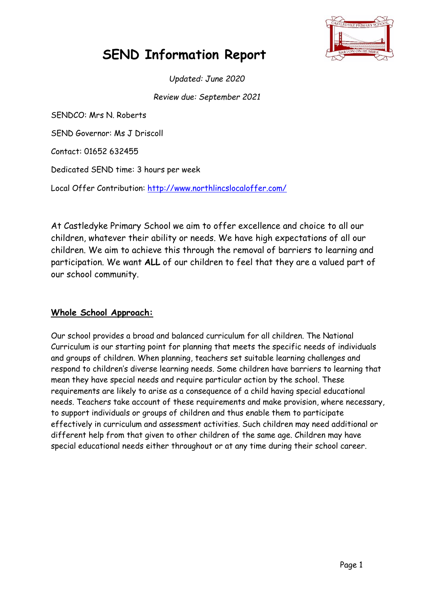

# **SEND Information Report**

*Updated: June 2020*

*Review due: September 2021*

SENDCO: Mrs N. Roberts SEND Governor: Ms J Driscoll Contact: 01652 632455 Dedicated SEND time: 3 hours per week Local Offer Contribution:<http://www.northlincslocaloffer.com/>

At Castledyke Primary School we aim to offer excellence and choice to all our children, whatever their ability or needs. We have high expectations of all our children. We aim to achieve this through the removal of barriers to learning and participation. We want **ALL** of our children to feel that they are a valued part of our school community.

# **Whole School Approach:**

Our school provides a broad and balanced curriculum for all children. The National Curriculum is our starting point for planning that meets the specific needs of individuals and groups of children. When planning, teachers set suitable learning challenges and respond to children's diverse learning needs. Some children have barriers to learning that mean they have special needs and require particular action by the school. These requirements are likely to arise as a consequence of a child having special educational needs. Teachers take account of these requirements and make provision, where necessary, to support individuals or groups of children and thus enable them to participate effectively in curriculum and assessment activities. Such children may need additional or different help from that given to other children of the same age. Children may have special educational needs either throughout or at any time during their school career.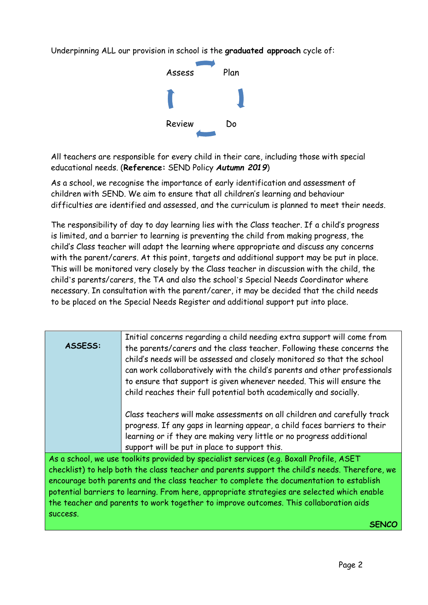Underpinning ALL our provision in school is the **graduated approach** cycle of:



All teachers are responsible for every child in their care, including those with special educational needs. (**Reference:** SEND Policy *Autumn 2019*)

As a school, we recognise the importance of early identification and assessment of children with SEND. We aim to ensure that all children's learning and behaviour difficulties are identified and assessed, and the curriculum is planned to meet their needs.

The responsibility of day to day learning lies with the Class teacher. If a child's progress is limited, and a barrier to learning is preventing the child from making progress, the child's Class teacher will adapt the learning where appropriate and discuss any concerns with the parent/carers. At this point, targets and additional support may be put in place. This will be monitored very closely by the Class teacher in discussion with the child, the child's parents/carers, the TA and also the school's Special Needs Coordinator where necessary. In consultation with the parent/carer, it may be decided that the child needs to be placed on the Special Needs Register and additional support put into place.

| ASSESS:                                                                                                                                                                                                                                                                                                                                                                                                                                                                                  | Initial concerns regarding a child needing extra support will come from<br>the parents/carers and the class teacher. Following these concerns the<br>child's needs will be assessed and closely monitored so that the school<br>can work collaboratively with the child's parents and other professionals<br>to ensure that support is given whenever needed. This will ensure the<br>child reaches their full potential both academically and socially. |  |
|------------------------------------------------------------------------------------------------------------------------------------------------------------------------------------------------------------------------------------------------------------------------------------------------------------------------------------------------------------------------------------------------------------------------------------------------------------------------------------------|----------------------------------------------------------------------------------------------------------------------------------------------------------------------------------------------------------------------------------------------------------------------------------------------------------------------------------------------------------------------------------------------------------------------------------------------------------|--|
|                                                                                                                                                                                                                                                                                                                                                                                                                                                                                          | Class teachers will make assessments on all children and carefully track<br>progress. If any gaps in learning appear, a child faces barriers to their<br>learning or if they are making very little or no progress additional<br>support will be put in place to support this.                                                                                                                                                                           |  |
| As a school, we use toolkits provided by specialist services (e.g. Boxall Profile, ASET<br>checklist) to help both the class teacher and parents support the child's needs. Therefore, we<br>encourage both parents and the class teacher to complete the documentation to establish<br>potential barriers to learning. From here, appropriate strategies are selected which enable<br>the teacher and parents to work together to improve outcomes. This collaboration aids<br>SUCCESS. |                                                                                                                                                                                                                                                                                                                                                                                                                                                          |  |

**SENCO**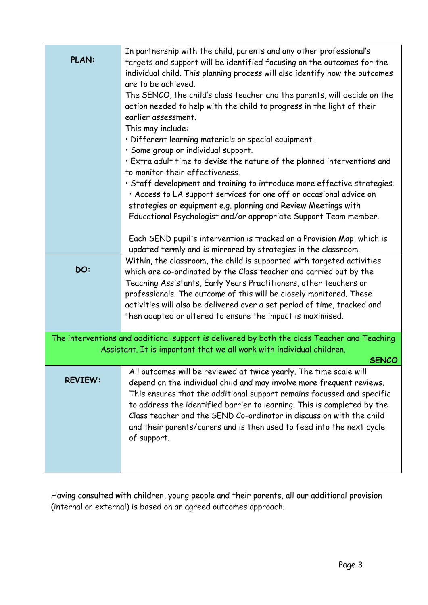|                                                                                              | In partnership with the child, parents and any other professional's         |  |  |  |
|----------------------------------------------------------------------------------------------|-----------------------------------------------------------------------------|--|--|--|
| <b>PLAN:</b>                                                                                 | targets and support will be identified focusing on the outcomes for the     |  |  |  |
|                                                                                              | individual child. This planning process will also identify how the outcomes |  |  |  |
|                                                                                              | are to be achieved.                                                         |  |  |  |
|                                                                                              | The SENCO, the child's class teacher and the parents, will decide on the    |  |  |  |
|                                                                                              | action needed to help with the child to progress in the light of their      |  |  |  |
|                                                                                              | earlier assessment.                                                         |  |  |  |
|                                                                                              | This may include:                                                           |  |  |  |
|                                                                                              | · Different learning materials or special equipment.                        |  |  |  |
|                                                                                              | · Some group or individual support.                                         |  |  |  |
|                                                                                              | . Extra adult time to devise the nature of the planned interventions and    |  |  |  |
|                                                                                              | to monitor their effectiveness.                                             |  |  |  |
|                                                                                              | · Staff development and training to introduce more effective strategies.    |  |  |  |
|                                                                                              | · Access to LA support services for one off or occasional advice on         |  |  |  |
|                                                                                              | strategies or equipment e.g. planning and Review Meetings with              |  |  |  |
|                                                                                              | Educational Psychologist and/or appropriate Support Team member.            |  |  |  |
|                                                                                              |                                                                             |  |  |  |
|                                                                                              | Each SEND pupil's intervention is tracked on a Provision Map, which is      |  |  |  |
|                                                                                              | updated termly and is mirrored by strategies in the classroom.              |  |  |  |
|                                                                                              | Within, the classroom, the child is supported with targeted activities      |  |  |  |
| DO:                                                                                          | which are co-ordinated by the Class teacher and carried out by the          |  |  |  |
|                                                                                              | Teaching Assistants, Early Years Practitioners, other teachers or           |  |  |  |
|                                                                                              | professionals. The outcome of this will be closely monitored. These         |  |  |  |
|                                                                                              | activities will also be delivered over a set period of time, tracked and    |  |  |  |
|                                                                                              | then adapted or altered to ensure the impact is maximised.                  |  |  |  |
|                                                                                              |                                                                             |  |  |  |
| The interventions and additional support is delivered by both the class Teacher and Teaching |                                                                             |  |  |  |
| Assistant. It is important that we all work with individual children.                        |                                                                             |  |  |  |
| <b>SENCO</b>                                                                                 |                                                                             |  |  |  |
|                                                                                              | All outcomes will be reviewed at twice yearly. The time scale will          |  |  |  |
| <b>REVIEW:</b>                                                                               | depend on the individual child and may involve more frequent reviews.       |  |  |  |
|                                                                                              | This ensures that the additional support remains focussed and specific      |  |  |  |
|                                                                                              | to address the identified barrier to learning. This is completed by the     |  |  |  |
|                                                                                              | Class teacher and the SEND Co-ordinator in discussion with the child        |  |  |  |
|                                                                                              | and their parents/carers and is then used to feed into the next cycle       |  |  |  |
|                                                                                              | of support.                                                                 |  |  |  |
|                                                                                              |                                                                             |  |  |  |
|                                                                                              |                                                                             |  |  |  |
|                                                                                              |                                                                             |  |  |  |

Having consulted with children, young people and their parents, all our additional provision (internal or external) is based on an agreed outcomes approach.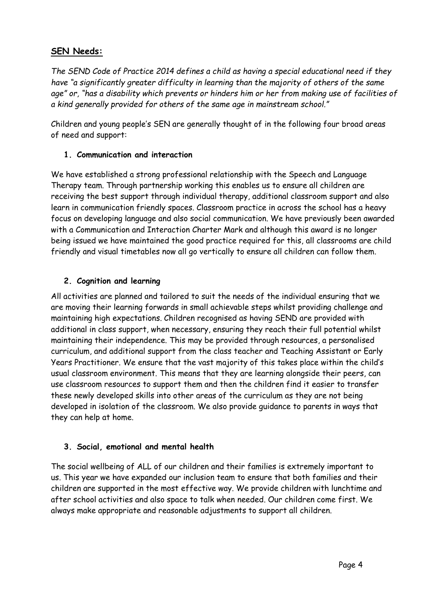## **SEN Needs:**

*The SEND Code of Practice 2014 defines a child as having a special educational need if they have "a significantly greater difficulty in learning than the majority of others of the same age" or, "has a disability which prevents or hinders him or her from making use of facilities of a kind generally provided for others of the same age in mainstream school."*

Children and young people's SEN are generally thought of in the following four broad areas of need and support:

## **1. Communication and interaction**

We have established a strong professional relationship with the Speech and Language Therapy team. Through partnership working this enables us to ensure all children are receiving the best support through individual therapy, additional classroom support and also learn in communication friendly spaces. Classroom practice in across the school has a heavy focus on developing language and also social communication. We have previously been awarded with a Communication and Interaction Charter Mark and although this award is no longer being issued we have maintained the good practice required for this, all classrooms are child friendly and visual timetables now all go vertically to ensure all children can follow them.

## **2. Cognition and learning**

All activities are planned and tailored to suit the needs of the individual ensuring that we are moving their learning forwards in small achievable steps whilst providing challenge and maintaining high expectations. Children recognised as having SEND are provided with additional in class support, when necessary, ensuring they reach their full potential whilst maintaining their independence. This may be provided through resources, a personalised curriculum, and additional support from the class teacher and Teaching Assistant or Early Years Practitioner. We ensure that the vast majority of this takes place within the child's usual classroom environment. This means that they are learning alongside their peers, can use classroom resources to support them and then the children find it easier to transfer these newly developed skills into other areas of the curriculum as they are not being developed in isolation of the classroom. We also provide guidance to parents in ways that they can help at home.

## **3. Social, emotional and mental health**

The social wellbeing of ALL of our children and their families is extremely important to us. This year we have expanded our inclusion team to ensure that both families and their children are supported in the most effective way. We provide children with lunchtime and after school activities and also space to talk when needed. Our children come first. We always make appropriate and reasonable adjustments to support all children.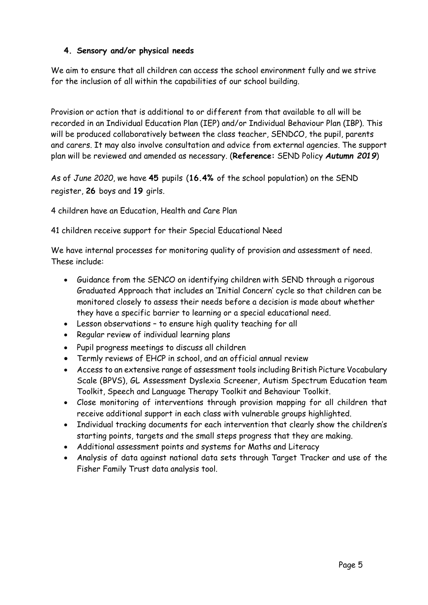## **4. Sensory and/or physical needs**

We aim to ensure that all children can access the school environment fully and we strive for the inclusion of all within the capabilities of our school building.

Provision or action that is additional to or different from that available to all will be recorded in an Individual Education Plan (IEP) and/or Individual Behaviour Plan (IBP). This will be produced collaboratively between the class teacher, SENDCO, the pupil, parents and carers. It may also involve consultation and advice from external agencies. The support plan will be reviewed and amended as necessary. (**Reference:** SEND Policy *Autumn 2019*)

As of *June 2020*, we have **45** pupils (**16.4%** of the school population) on the SEND register, **26** boys and **19** girls.

4 children have an Education, Health and Care Plan

41 children receive support for their Special Educational Need

We have internal processes for monitoring quality of provision and assessment of need. These include:

- Guidance from the SENCO on identifying children with SEND through a rigorous Graduated Approach that includes an 'Initial Concern' cycle so that children can be monitored closely to assess their needs before a decision is made about whether they have a specific barrier to learning or a special educational need.
- Lesson observations to ensure high quality teaching for all
- Regular review of individual learning plans
- Pupil progress meetings to discuss all children
- Termly reviews of EHCP in school, and an official annual review
- Access to an extensive range of assessment tools including British Picture Vocabulary Scale (BPVS), GL Assessment Dyslexia Screener, Autism Spectrum Education team Toolkit, Speech and Language Therapy Toolkit and Behaviour Toolkit.
- Close monitoring of interventions through provision mapping for all children that receive additional support in each class with vulnerable groups highlighted.
- Individual tracking documents for each intervention that clearly show the children's starting points, targets and the small steps progress that they are making.
- Additional assessment points and systems for Maths and Literacy
- Analysis of data against national data sets through Target Tracker and use of the Fisher Family Trust data analysis tool.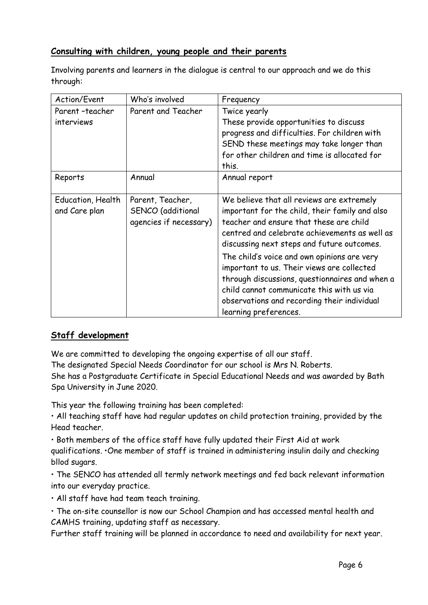## **Consulting with children, young people and their parents**

Involving parents and learners in the dialogue is central to our approach and we do this through:

| Action/Event      | Who's involved         | Frequency                                      |
|-------------------|------------------------|------------------------------------------------|
| Parent-teacher    | Parent and Teacher     | Twice yearly                                   |
| interviews        |                        | These provide opportunities to discuss         |
|                   |                        | progress and difficulties. For children with   |
|                   |                        | SEND these meetings may take longer than       |
|                   |                        | for other children and time is allocated for   |
|                   |                        | this.                                          |
| Reports           | Annual                 | Annual report                                  |
|                   |                        |                                                |
| Education, Health | Parent, Teacher,       | We believe that all reviews are extremely      |
| and Care plan     | SENCO (additional      | important for the child, their family and also |
|                   | agencies if necessary) | teacher and ensure that these are child        |
|                   |                        | centred and celebrate achievements as well as  |
|                   |                        | discussing next steps and future outcomes.     |
|                   |                        | The child's voice and own opinions are very    |
|                   |                        | important to us. Their views are collected     |
|                   |                        | through discussions, questionnaires and when a |
|                   |                        | child cannot communicate this with us via      |
|                   |                        | observations and recording their individual    |
|                   |                        | learning preferences.                          |

# **Staff development**

We are committed to developing the ongoing expertise of all our staff.

The designated Special Needs Coordinator for our school is Mrs N. Roberts.

She has a Postgraduate Certificate in Special Educational Needs and was awarded by Bath Spa University in June 2020.

This year the following training has been completed:

• All teaching staff have had regular updates on child protection training, provided by the Head teacher.

• Both members of the office staff have fully updated their First Aid at work qualifications. •One member of staff is trained in administering insulin daily and checking bllod sugars.

• The SENCO has attended all termly network meetings and fed back relevant information into our everyday practice.

• All staff have had team teach training.

• The on-site counsellor is now our School Champion and has accessed mental health and CAMHS training, updating staff as necessary.

Further staff training will be planned in accordance to need and availability for next year.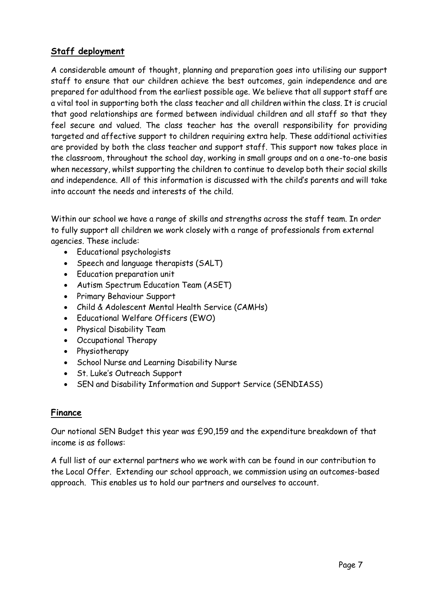# **Staff deployment**

A considerable amount of thought, planning and preparation goes into utilising our support staff to ensure that our children achieve the best outcomes, gain independence and are prepared for adulthood from the earliest possible age. We believe that all support staff are a vital tool in supporting both the class teacher and all children within the class. It is crucial that good relationships are formed between individual children and all staff so that they feel secure and valued. The class teacher has the overall responsibility for providing targeted and affective support to children requiring extra help. These additional activities are provided by both the class teacher and support staff. This support now takes place in the classroom, throughout the school day, working in small groups and on a one-to-one basis when necessary, whilst supporting the children to continue to develop both their social skills and independence. All of this information is discussed with the child's parents and will take into account the needs and interests of the child.

Within our school we have a range of skills and strengths across the staff team. In order to fully support all children we work closely with a range of professionals from external agencies. These include:

- Educational psychologists
- Speech and language therapists (SALT)
- Education preparation unit
- Autism Spectrum Education Team (ASET)
- Primary Behaviour Support
- Child & Adolescent Mental Health Service (CAMHs)
- Educational Welfare Officers (EWO)
- Physical Disability Team
- Occupational Therapy
- Physiotherapy
- School Nurse and Learning Disability Nurse
- St. Luke's Outreach Support
- SEN and Disability Information and Support Service (SENDIASS)

## **Finance**

Our notional SEN Budget this year was £90,159 and the expenditure breakdown of that income is as follows:

A full list of our external partners who we work with can be found in our contribution to the Local Offer. Extending our school approach, we commission using an outcomes-based approach. This enables us to hold our partners and ourselves to account.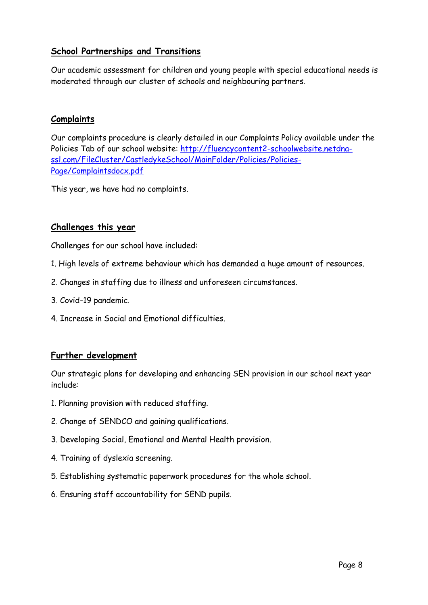## **School Partnerships and Transitions**

Our academic assessment for children and young people with special educational needs is moderated through our cluster of schools and neighbouring partners.

## **Complaints**

Our complaints procedure is clearly detailed in our Complaints Policy available under the Policies Tab of our school website: [http://fluencycontent2-schoolwebsite.netdna](http://fluencycontent2-schoolwebsite.netdna-ssl.com/FileCluster/CastledykeSchool/MainFolder/Policies/Policies-Page/Complaintsdocx.pdf)[ssl.com/FileCluster/CastledykeSchool/MainFolder/Policies/Policies-](http://fluencycontent2-schoolwebsite.netdna-ssl.com/FileCluster/CastledykeSchool/MainFolder/Policies/Policies-Page/Complaintsdocx.pdf)[Page/Complaintsdocx.pdf](http://fluencycontent2-schoolwebsite.netdna-ssl.com/FileCluster/CastledykeSchool/MainFolder/Policies/Policies-Page/Complaintsdocx.pdf)

This year, we have had no complaints.

## **Challenges this year**

Challenges for our school have included:

- 1. High levels of extreme behaviour which has demanded a huge amount of resources.
- 2. Changes in staffing due to illness and unforeseen circumstances.
- 3. Covid-19 pandemic.
- 4. Increase in Social and Emotional difficulties.

## **Further development**

Our strategic plans for developing and enhancing SEN provision in our school next year include:

- 1. Planning provision with reduced staffing.
- 2. Change of SENDCO and gaining qualifications.
- 3. Developing Social, Emotional and Mental Health provision.
- 4. Training of dyslexia screening.
- 5. Establishing systematic paperwork procedures for the whole school.
- 6. Ensuring staff accountability for SEND pupils.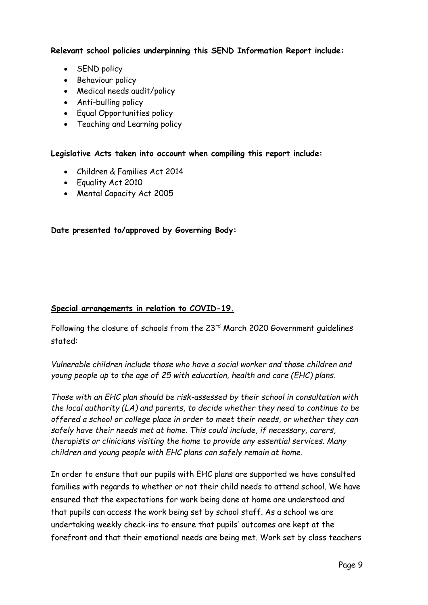**Relevant school policies underpinning this SEND Information Report include:**

- SEND policy
- Behaviour policy
- Medical needs audit/policy
- Anti-bulling policy
- Equal Opportunities policy
- Teaching and Learning policy

**Legislative Acts taken into account when compiling this report include:**

- Children & Families Act 2014
- Equality Act 2010
- Mental Capacity Act 2005

#### **Date presented to/approved by Governing Body:**

#### **Special arrangements in relation to COVID-19.**

Following the closure of schools from the 23<sup>rd</sup> March 2020 Government guidelines stated:

*Vulnerable children include those who have a social worker and those children and young people up to the age of 25 with education, health and care (EHC) plans.*

*Those with an EHC plan should be risk-assessed by their school in consultation with the local authority (LA) and parents, to decide whether they need to continue to be offered a school or college place in order to meet their needs, or whether they can safely have their needs met at home. This could include, if necessary, carers, therapists or clinicians visiting the home to provide any essential services. Many children and young people with EHC plans can safely remain at home.*

In order to ensure that our pupils with EHC plans are supported we have consulted families with regards to whether or not their child needs to attend school. We have ensured that the expectations for work being done at home are understood and that pupils can access the work being set by school staff. As a school we are undertaking weekly check-ins to ensure that pupils' outcomes are kept at the forefront and that their emotional needs are being met. Work set by class teachers